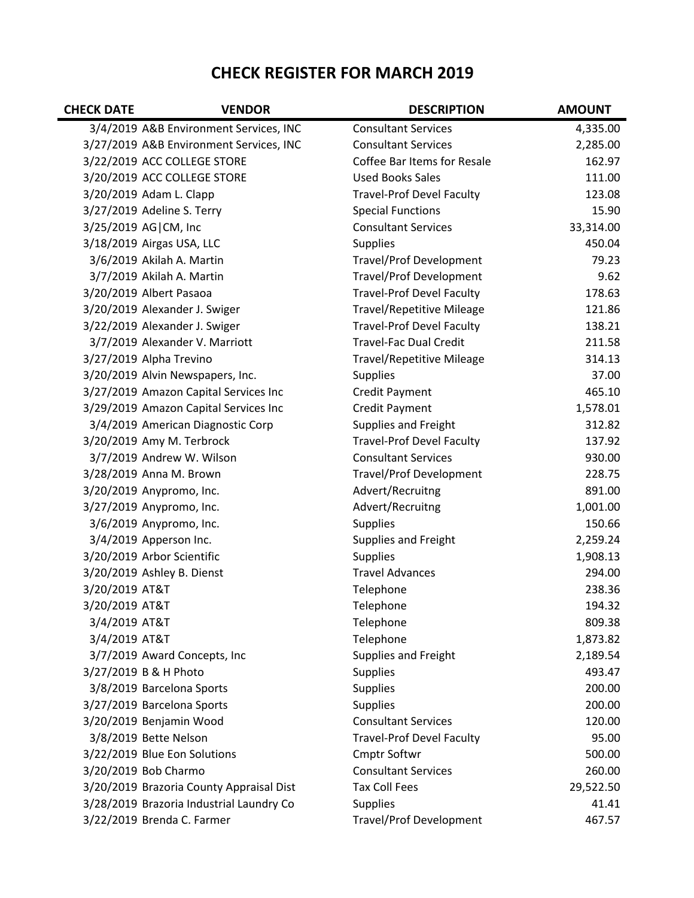## **CHECK REGISTER FOR MARCH 2019**

| <b>CHECK DATE</b> | <b>VENDOR</b>                            | <b>DESCRIPTION</b>               | <b>AMOUNT</b> |
|-------------------|------------------------------------------|----------------------------------|---------------|
|                   | 3/4/2019 A&B Environment Services, INC   | <b>Consultant Services</b>       | 4,335.00      |
|                   | 3/27/2019 A&B Environment Services, INC  | <b>Consultant Services</b>       | 2,285.00      |
|                   | 3/22/2019 ACC COLLEGE STORE              | Coffee Bar Items for Resale      | 162.97        |
|                   | 3/20/2019 ACC COLLEGE STORE              | <b>Used Books Sales</b>          | 111.00        |
|                   | 3/20/2019 Adam L. Clapp                  | <b>Travel-Prof Devel Faculty</b> | 123.08        |
|                   | 3/27/2019 Adeline S. Terry               | <b>Special Functions</b>         | 15.90         |
|                   | 3/25/2019 AG CM, Inc                     | <b>Consultant Services</b>       | 33,314.00     |
|                   | 3/18/2019 Airgas USA, LLC                | <b>Supplies</b>                  | 450.04        |
|                   | 3/6/2019 Akilah A. Martin                | <b>Travel/Prof Development</b>   | 79.23         |
|                   | 3/7/2019 Akilah A. Martin                | <b>Travel/Prof Development</b>   | 9.62          |
|                   | 3/20/2019 Albert Pasaoa                  | <b>Travel-Prof Devel Faculty</b> | 178.63        |
|                   | 3/20/2019 Alexander J. Swiger            | <b>Travel/Repetitive Mileage</b> | 121.86        |
|                   | 3/22/2019 Alexander J. Swiger            | <b>Travel-Prof Devel Faculty</b> | 138.21        |
|                   | 3/7/2019 Alexander V. Marriott           | <b>Travel-Fac Dual Credit</b>    | 211.58        |
|                   | 3/27/2019 Alpha Trevino                  | <b>Travel/Repetitive Mileage</b> | 314.13        |
|                   | 3/20/2019 Alvin Newspapers, Inc.         | <b>Supplies</b>                  | 37.00         |
|                   | 3/27/2019 Amazon Capital Services Inc    | <b>Credit Payment</b>            | 465.10        |
|                   | 3/29/2019 Amazon Capital Services Inc    | <b>Credit Payment</b>            | 1,578.01      |
|                   | 3/4/2019 American Diagnostic Corp        | <b>Supplies and Freight</b>      | 312.82        |
|                   | 3/20/2019 Amy M. Terbrock                | <b>Travel-Prof Devel Faculty</b> | 137.92        |
|                   | 3/7/2019 Andrew W. Wilson                | <b>Consultant Services</b>       | 930.00        |
|                   | 3/28/2019 Anna M. Brown                  | <b>Travel/Prof Development</b>   | 228.75        |
|                   | 3/20/2019 Anypromo, Inc.                 | Advert/Recruitng                 | 891.00        |
|                   | 3/27/2019 Anypromo, Inc.                 | Advert/Recruitng                 | 1,001.00      |
|                   | 3/6/2019 Anypromo, Inc.                  | <b>Supplies</b>                  | 150.66        |
|                   | 3/4/2019 Apperson Inc.                   | <b>Supplies and Freight</b>      | 2,259.24      |
|                   | 3/20/2019 Arbor Scientific               | <b>Supplies</b>                  | 1,908.13      |
|                   | 3/20/2019 Ashley B. Dienst               | <b>Travel Advances</b>           | 294.00        |
| 3/20/2019 AT&T    |                                          | Telephone                        | 238.36        |
| 3/20/2019 AT&T    |                                          | Telephone                        | 194.32        |
| 3/4/2019 AT&T     |                                          | Telephone                        | 809.38        |
| 3/4/2019 AT&T     |                                          | Telephone                        | 1,873.82      |
|                   | 3/7/2019 Award Concepts, Inc             | Supplies and Freight             | 2,189.54      |
|                   | 3/27/2019 B & H Photo                    | <b>Supplies</b>                  | 493.47        |
|                   | 3/8/2019 Barcelona Sports                | <b>Supplies</b>                  | 200.00        |
|                   | 3/27/2019 Barcelona Sports               | <b>Supplies</b>                  | 200.00        |
|                   | 3/20/2019 Benjamin Wood                  | <b>Consultant Services</b>       | 120.00        |
|                   | 3/8/2019 Bette Nelson                    | <b>Travel-Prof Devel Faculty</b> | 95.00         |
|                   | 3/22/2019 Blue Eon Solutions             | <b>Cmptr Softwr</b>              | 500.00        |
|                   | 3/20/2019 Bob Charmo                     | <b>Consultant Services</b>       | 260.00        |
|                   | 3/20/2019 Brazoria County Appraisal Dist | <b>Tax Coll Fees</b>             | 29,522.50     |
|                   | 3/28/2019 Brazoria Industrial Laundry Co | <b>Supplies</b>                  | 41.41         |
|                   | 3/22/2019 Brenda C. Farmer               | <b>Travel/Prof Development</b>   | 467.57        |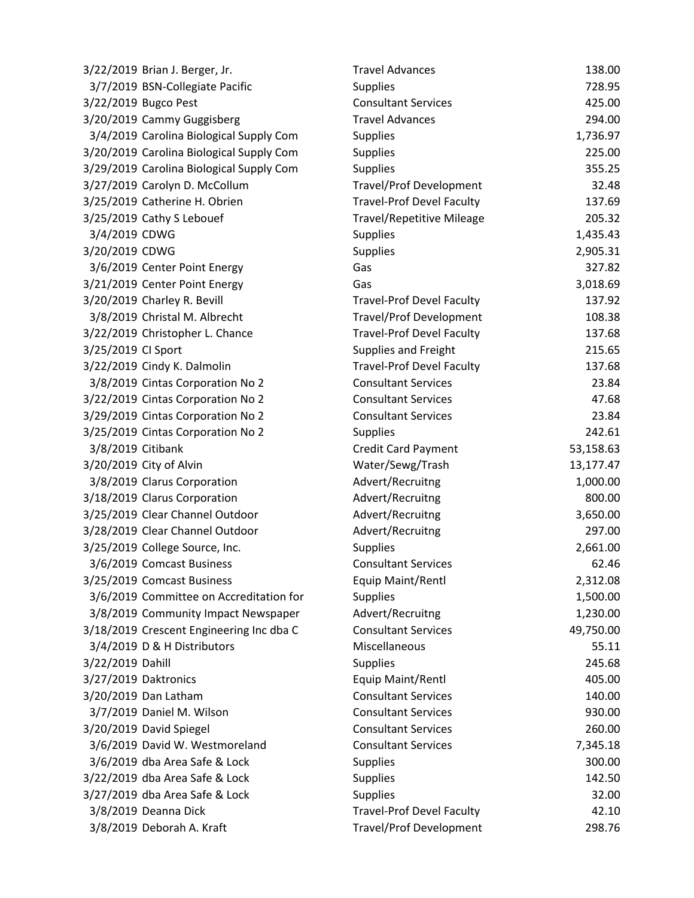| 3/22/2019 Brian J. Berger, Jr.           | <b>Travel Advances</b>           | 138.00    |
|------------------------------------------|----------------------------------|-----------|
| 3/7/2019 BSN-Collegiate Pacific          | <b>Supplies</b>                  | 728.95    |
| 3/22/2019 Bugco Pest                     | <b>Consultant Services</b>       | 425.00    |
| 3/20/2019 Cammy Guggisberg               | <b>Travel Advances</b>           | 294.00    |
| 3/4/2019 Carolina Biological Supply Com  | Supplies                         | 1,736.97  |
| 3/20/2019 Carolina Biological Supply Com | <b>Supplies</b>                  | 225.00    |
| 3/29/2019 Carolina Biological Supply Com | <b>Supplies</b>                  | 355.25    |
| 3/27/2019 Carolyn D. McCollum            | <b>Travel/Prof Development</b>   | 32.48     |
| 3/25/2019 Catherine H. Obrien            | <b>Travel-Prof Devel Faculty</b> | 137.69    |
| 3/25/2019 Cathy S Lebouef                | <b>Travel/Repetitive Mileage</b> | 205.32    |
| 3/4/2019 CDWG                            | <b>Supplies</b>                  | 1,435.43  |
| 3/20/2019 CDWG                           | Supplies                         | 2,905.31  |
| 3/6/2019 Center Point Energy             | Gas                              | 327.82    |
| 3/21/2019 Center Point Energy            | Gas                              | 3,018.69  |
| 3/20/2019 Charley R. Bevill              | <b>Travel-Prof Devel Faculty</b> | 137.92    |
| 3/8/2019 Christal M. Albrecht            | <b>Travel/Prof Development</b>   | 108.38    |
| 3/22/2019 Christopher L. Chance          | <b>Travel-Prof Devel Faculty</b> | 137.68    |
| 3/25/2019 CI Sport                       | <b>Supplies and Freight</b>      | 215.65    |
| 3/22/2019 Cindy K. Dalmolin              | <b>Travel-Prof Devel Faculty</b> | 137.68    |
| 3/8/2019 Cintas Corporation No 2         | <b>Consultant Services</b>       | 23.84     |
| 3/22/2019 Cintas Corporation No 2        | <b>Consultant Services</b>       | 47.68     |
| 3/29/2019 Cintas Corporation No 2        | <b>Consultant Services</b>       | 23.84     |
| 3/25/2019 Cintas Corporation No 2        | <b>Supplies</b>                  | 242.61    |
| 3/8/2019 Citibank                        | Credit Card Payment              | 53,158.63 |
| 3/20/2019 City of Alvin                  | Water/Sewg/Trash                 | 13,177.47 |
| 3/8/2019 Clarus Corporation              | Advert/Recruitng                 | 1,000.00  |
| 3/18/2019 Clarus Corporation             | Advert/Recruitng                 | 800.00    |
| 3/25/2019 Clear Channel Outdoor          | Advert/Recruitng                 | 3,650.00  |
| 3/28/2019 Clear Channel Outdoor          | Advert/Recruitng                 | 297.00    |
| 3/25/2019 College Source, Inc.           | <b>Supplies</b>                  | 2,661.00  |
| 3/6/2019 Comcast Business                | <b>Consultant Services</b>       | 62.46     |
| 3/25/2019 Comcast Business               | <b>Equip Maint/Rentl</b>         | 2,312.08  |
| 3/6/2019 Committee on Accreditation for  | <b>Supplies</b>                  | 1,500.00  |
| 3/8/2019 Community Impact Newspaper      | Advert/Recruitng                 | 1,230.00  |
| 3/18/2019 Crescent Engineering Inc dba C | <b>Consultant Services</b>       | 49,750.00 |
| 3/4/2019 D & H Distributors              | Miscellaneous                    | 55.11     |
| 3/22/2019 Dahill                         | <b>Supplies</b>                  | 245.68    |
| 3/27/2019 Daktronics                     | Equip Maint/Rentl                | 405.00    |
| 3/20/2019 Dan Latham                     | <b>Consultant Services</b>       | 140.00    |
| 3/7/2019 Daniel M. Wilson                | <b>Consultant Services</b>       | 930.00    |
| 3/20/2019 David Spiegel                  | <b>Consultant Services</b>       | 260.00    |
| 3/6/2019 David W. Westmoreland           | <b>Consultant Services</b>       | 7,345.18  |
| 3/6/2019 dba Area Safe & Lock            | Supplies                         | 300.00    |
| 3/22/2019 dba Area Safe & Lock           | <b>Supplies</b>                  | 142.50    |
| 3/27/2019 dba Area Safe & Lock           | <b>Supplies</b>                  | 32.00     |
| 3/8/2019 Deanna Dick                     | <b>Travel-Prof Devel Faculty</b> | 42.10     |
| 3/8/2019 Deborah A. Kraft                | <b>Travel/Prof Development</b>   | 298.76    |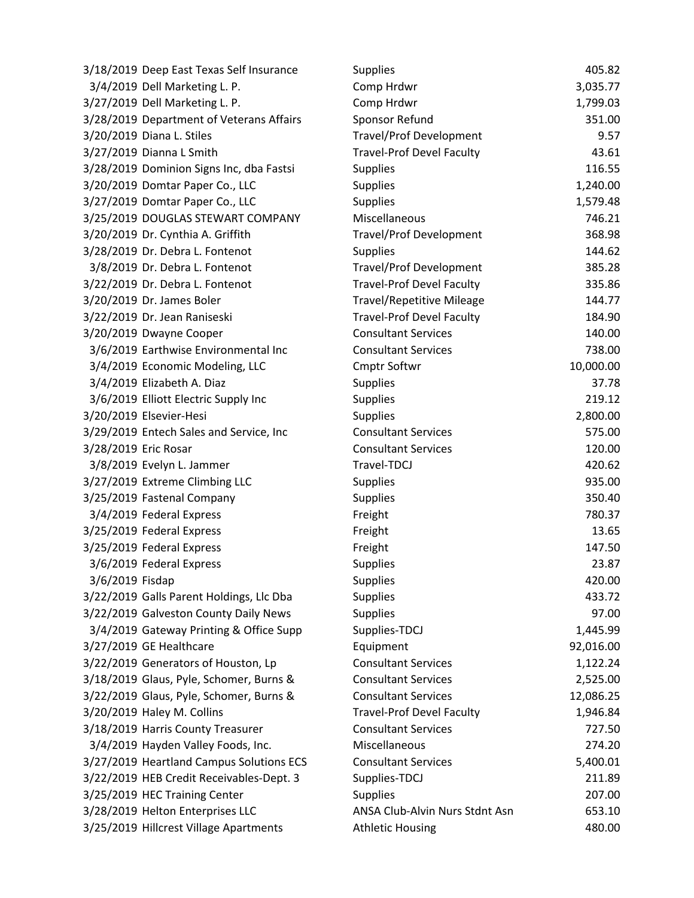| 3/18/2019 Deep East Texas Self Insurance | <b>Supplies</b>                  | 405.82    |
|------------------------------------------|----------------------------------|-----------|
| 3/4/2019 Dell Marketing L. P.            | Comp Hrdwr                       | 3,035.77  |
| 3/27/2019 Dell Marketing L. P.           | Comp Hrdwr                       | 1,799.03  |
| 3/28/2019 Department of Veterans Affairs | Sponsor Refund                   | 351.00    |
| 3/20/2019 Diana L. Stiles                | <b>Travel/Prof Development</b>   | 9.57      |
| 3/27/2019 Dianna L Smith                 | <b>Travel-Prof Devel Faculty</b> | 43.61     |
| 3/28/2019 Dominion Signs Inc, dba Fastsi | <b>Supplies</b>                  | 116.55    |
| 3/20/2019 Domtar Paper Co., LLC          | Supplies                         | 1,240.00  |
| 3/27/2019 Domtar Paper Co., LLC          | <b>Supplies</b>                  | 1,579.48  |
| 3/25/2019 DOUGLAS STEWART COMPANY        | Miscellaneous                    | 746.21    |
| 3/20/2019 Dr. Cynthia A. Griffith        | <b>Travel/Prof Development</b>   | 368.98    |
| 3/28/2019 Dr. Debra L. Fontenot          | Supplies                         | 144.62    |
| 3/8/2019 Dr. Debra L. Fontenot           | <b>Travel/Prof Development</b>   | 385.28    |
| 3/22/2019 Dr. Debra L. Fontenot          | <b>Travel-Prof Devel Faculty</b> | 335.86    |
| 3/20/2019 Dr. James Boler                | <b>Travel/Repetitive Mileage</b> | 144.77    |
| 3/22/2019 Dr. Jean Raniseski             | <b>Travel-Prof Devel Faculty</b> | 184.90    |
| 3/20/2019 Dwayne Cooper                  | <b>Consultant Services</b>       | 140.00    |
| 3/6/2019 Earthwise Environmental Inc     | <b>Consultant Services</b>       | 738.00    |
| 3/4/2019 Economic Modeling, LLC          | Cmptr Softwr                     | 10,000.00 |
| 3/4/2019 Elizabeth A. Diaz               | <b>Supplies</b>                  | 37.78     |
| 3/6/2019 Elliott Electric Supply Inc     | <b>Supplies</b>                  | 219.12    |
| 3/20/2019 Elsevier-Hesi                  | <b>Supplies</b>                  | 2,800.00  |
| 3/29/2019 Entech Sales and Service, Inc  | <b>Consultant Services</b>       | 575.00    |
| 3/28/2019 Eric Rosar                     | <b>Consultant Services</b>       | 120.00    |
| 3/8/2019 Evelyn L. Jammer                | Travel-TDCJ                      | 420.62    |
| 3/27/2019 Extreme Climbing LLC           | Supplies                         | 935.00    |
| 3/25/2019 Fastenal Company               | Supplies                         | 350.40    |
| 3/4/2019 Federal Express                 | Freight                          | 780.37    |
| 3/25/2019 Federal Express                | Freight                          | 13.65     |
| 3/25/2019 Federal Express                | Freight                          | 147.50    |
| 3/6/2019 Federal Express                 | <b>Supplies</b>                  | 23.87     |
| 3/6/2019 Fisdap                          | <b>Supplies</b>                  | 420.00    |
| 3/22/2019 Galls Parent Holdings, Llc Dba | <b>Supplies</b>                  | 433.72    |
| 3/22/2019 Galveston County Daily News    | Supplies                         | 97.00     |
| 3/4/2019 Gateway Printing & Office Supp  | Supplies-TDCJ                    | 1,445.99  |
| 3/27/2019 GE Healthcare                  | Equipment                        | 92,016.00 |
| 3/22/2019 Generators of Houston, Lp      | <b>Consultant Services</b>       | 1,122.24  |
| 3/18/2019 Glaus, Pyle, Schomer, Burns &  | <b>Consultant Services</b>       | 2,525.00  |
| 3/22/2019 Glaus, Pyle, Schomer, Burns &  | <b>Consultant Services</b>       | 12,086.25 |
| 3/20/2019 Haley M. Collins               | <b>Travel-Prof Devel Faculty</b> | 1,946.84  |
| 3/18/2019 Harris County Treasurer        | <b>Consultant Services</b>       | 727.50    |
| 3/4/2019 Hayden Valley Foods, Inc.       | Miscellaneous                    | 274.20    |
| 3/27/2019 Heartland Campus Solutions ECS | <b>Consultant Services</b>       | 5,400.01  |
| 3/22/2019 HEB Credit Receivables-Dept. 3 | Supplies-TDCJ                    | 211.89    |
| 3/25/2019 HEC Training Center            | <b>Supplies</b>                  | 207.00    |
| 3/28/2019 Helton Enterprises LLC         | ANSA Club-Alvin Nurs Stdnt Asn   | 653.10    |
| 3/25/2019 Hillcrest Village Apartments   | <b>Athletic Housing</b>          | 480.00    |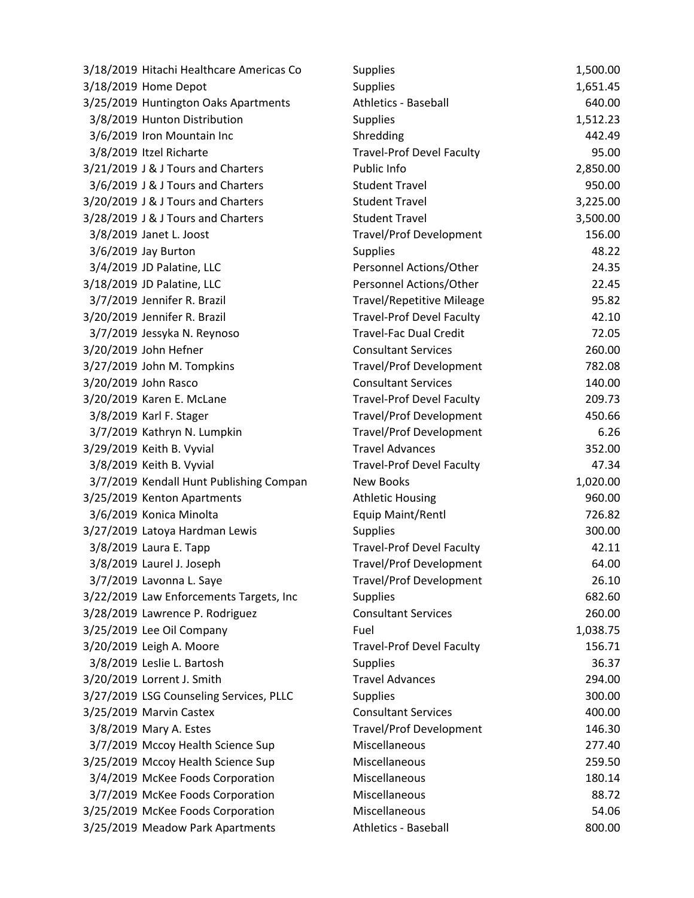| 3/18/2019 Hitachi Healthcare Americas Co | <b>Supplies</b>                  | 1,500.00 |
|------------------------------------------|----------------------------------|----------|
| 3/18/2019 Home Depot                     | <b>Supplies</b>                  | 1,651.45 |
| 3/25/2019 Huntington Oaks Apartments     | <b>Athletics - Baseball</b>      | 640.00   |
| 3/8/2019 Hunton Distribution             | <b>Supplies</b>                  | 1,512.23 |
| 3/6/2019 Iron Mountain Inc               | Shredding                        | 442.49   |
| 3/8/2019 Itzel Richarte                  | <b>Travel-Prof Devel Faculty</b> | 95.00    |
| 3/21/2019 J & J Tours and Charters       | Public Info                      | 2,850.00 |
| 3/6/2019 J & J Tours and Charters        | <b>Student Travel</b>            | 950.00   |
| 3/20/2019 J & J Tours and Charters       | <b>Student Travel</b>            | 3,225.00 |
| 3/28/2019 J & J Tours and Charters       | <b>Student Travel</b>            | 3,500.00 |
| 3/8/2019 Janet L. Joost                  | <b>Travel/Prof Development</b>   | 156.00   |
| 3/6/2019 Jay Burton                      | <b>Supplies</b>                  | 48.22    |
| 3/4/2019 JD Palatine, LLC                | Personnel Actions/Other          | 24.35    |
| 3/18/2019 JD Palatine, LLC               | Personnel Actions/Other          | 22.45    |
| 3/7/2019 Jennifer R. Brazil              | <b>Travel/Repetitive Mileage</b> | 95.82    |
| 3/20/2019 Jennifer R. Brazil             | <b>Travel-Prof Devel Faculty</b> | 42.10    |
| 3/7/2019 Jessyka N. Reynoso              | <b>Travel-Fac Dual Credit</b>    | 72.05    |
| 3/20/2019 John Hefner                    | <b>Consultant Services</b>       | 260.00   |
| 3/27/2019 John M. Tompkins               | <b>Travel/Prof Development</b>   | 782.08   |
| 3/20/2019 John Rasco                     | <b>Consultant Services</b>       | 140.00   |
| 3/20/2019 Karen E. McLane                | <b>Travel-Prof Devel Faculty</b> | 209.73   |
| 3/8/2019 Karl F. Stager                  | <b>Travel/Prof Development</b>   | 450.66   |
| 3/7/2019 Kathryn N. Lumpkin              | Travel/Prof Development          | 6.26     |
| 3/29/2019 Keith B. Vyvial                | <b>Travel Advances</b>           | 352.00   |
| 3/8/2019 Keith B. Vyvial                 | <b>Travel-Prof Devel Faculty</b> | 47.34    |
| 3/7/2019 Kendall Hunt Publishing Compan  | <b>New Books</b>                 | 1,020.00 |
| 3/25/2019 Kenton Apartments              | <b>Athletic Housing</b>          | 960.00   |
| 3/6/2019 Konica Minolta                  | Equip Maint/Rentl                | 726.82   |
| 3/27/2019 Latoya Hardman Lewis           | <b>Supplies</b>                  | 300.00   |
| 3/8/2019 Laura E. Tapp                   | <b>Travel-Prof Devel Faculty</b> | 42.11    |
| 3/8/2019 Laurel J. Joseph                | <b>Travel/Prof Development</b>   | 64.00    |
| 3/7/2019 Lavonna L. Saye                 | <b>Travel/Prof Development</b>   | 26.10    |
| 3/22/2019 Law Enforcements Targets, Inc  | <b>Supplies</b>                  | 682.60   |
| 3/28/2019 Lawrence P. Rodriguez          | <b>Consultant Services</b>       | 260.00   |
| 3/25/2019 Lee Oil Company                | Fuel                             | 1,038.75 |
| 3/20/2019 Leigh A. Moore                 | <b>Travel-Prof Devel Faculty</b> | 156.71   |
| 3/8/2019 Leslie L. Bartosh               | <b>Supplies</b>                  | 36.37    |
| 3/20/2019 Lorrent J. Smith               | <b>Travel Advances</b>           | 294.00   |
| 3/27/2019 LSG Counseling Services, PLLC  | Supplies                         | 300.00   |
| 3/25/2019 Marvin Castex                  | <b>Consultant Services</b>       | 400.00   |
| 3/8/2019 Mary A. Estes                   | <b>Travel/Prof Development</b>   | 146.30   |
| 3/7/2019 Mccoy Health Science Sup        | Miscellaneous                    | 277.40   |
| 3/25/2019 Mccoy Health Science Sup       | Miscellaneous                    | 259.50   |
| 3/4/2019 McKee Foods Corporation         | Miscellaneous                    | 180.14   |
| 3/7/2019 McKee Foods Corporation         | Miscellaneous                    | 88.72    |
| 3/25/2019 McKee Foods Corporation        | Miscellaneous                    | 54.06    |
| 3/25/2019 Meadow Park Apartments         | Athletics - Baseball             | 800.00   |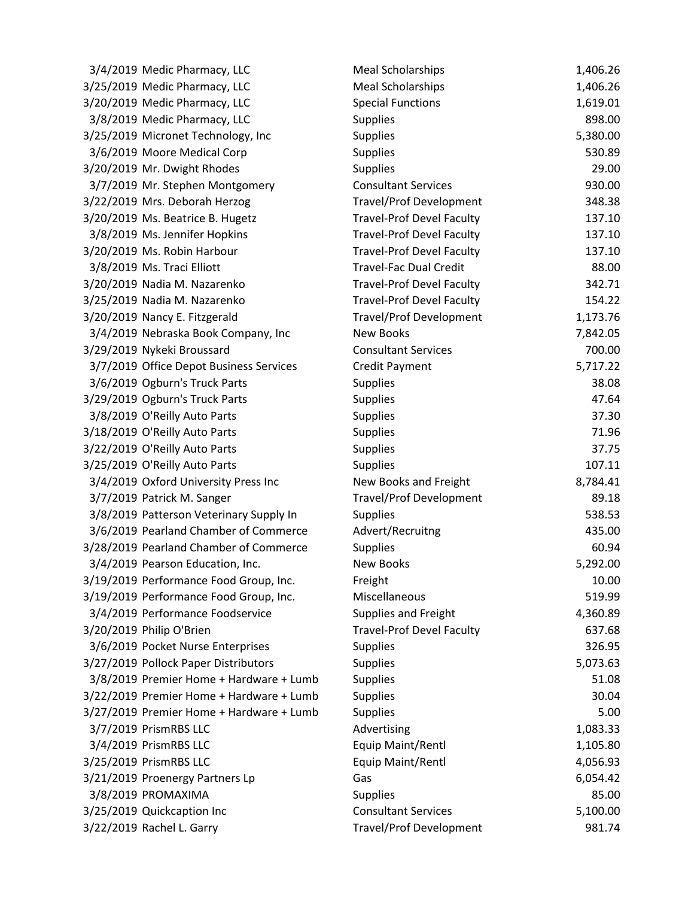| 3/4/2019 Medic Pharmacy, LLC             | <b>Meal Scholarships</b>         | 1,406.26 |
|------------------------------------------|----------------------------------|----------|
| 3/25/2019 Medic Pharmacy, LLC            | <b>Meal Scholarships</b>         | 1,406.26 |
| 3/20/2019 Medic Pharmacy, LLC            | <b>Special Functions</b>         | 1,619.01 |
| 3/8/2019 Medic Pharmacy, LLC             | <b>Supplies</b>                  | 898.00   |
| 3/25/2019 Micronet Technology, Inc       | <b>Supplies</b>                  | 5,380.00 |
| 3/6/2019 Moore Medical Corp              | <b>Supplies</b>                  | 530.89   |
| 3/20/2019 Mr. Dwight Rhodes              | <b>Supplies</b>                  | 29.00    |
| 3/7/2019 Mr. Stephen Montgomery          | <b>Consultant Services</b>       | 930.00   |
| 3/22/2019 Mrs. Deborah Herzog            | <b>Travel/Prof Development</b>   | 348.38   |
| 3/20/2019 Ms. Beatrice B. Hugetz         | <b>Travel-Prof Devel Faculty</b> | 137.10   |
| 3/8/2019 Ms. Jennifer Hopkins            | <b>Travel-Prof Devel Faculty</b> | 137.10   |
| 3/20/2019 Ms. Robin Harbour              | <b>Travel-Prof Devel Faculty</b> | 137.10   |
| 3/8/2019 Ms. Traci Elliott               | <b>Travel-Fac Dual Credit</b>    | 88.00    |
| 3/20/2019 Nadia M. Nazarenko             | <b>Travel-Prof Devel Faculty</b> | 342.71   |
| 3/25/2019 Nadia M. Nazarenko             | <b>Travel-Prof Devel Faculty</b> | 154.22   |
| 3/20/2019 Nancy E. Fitzgerald            | <b>Travel/Prof Development</b>   | 1,173.76 |
| 3/4/2019 Nebraska Book Company, Inc      | <b>New Books</b>                 | 7,842.05 |
| 3/29/2019 Nykeki Broussard               | <b>Consultant Services</b>       | 700.00   |
| 3/7/2019 Office Depot Business Services  | <b>Credit Payment</b>            | 5,717.22 |
| 3/6/2019 Ogburn's Truck Parts            | <b>Supplies</b>                  | 38.08    |
| 3/29/2019 Ogburn's Truck Parts           | <b>Supplies</b>                  | 47.64    |
| 3/8/2019 O'Reilly Auto Parts             | <b>Supplies</b>                  | 37.30    |
| 3/18/2019 O'Reilly Auto Parts            | <b>Supplies</b>                  | 71.96    |
| 3/22/2019 O'Reilly Auto Parts            | <b>Supplies</b>                  | 37.75    |
| 3/25/2019 O'Reilly Auto Parts            | <b>Supplies</b>                  | 107.11   |
| 3/4/2019 Oxford University Press Inc     | New Books and Freight            | 8,784.41 |
| 3/7/2019 Patrick M. Sanger               | <b>Travel/Prof Development</b>   | 89.18    |
| 3/8/2019 Patterson Veterinary Supply In  | <b>Supplies</b>                  | 538.53   |
| 3/6/2019 Pearland Chamber of Commerce    | Advert/Recruitng                 | 435.00   |
| 3/28/2019 Pearland Chamber of Commerce   | <b>Supplies</b>                  | 60.94    |
| 3/4/2019 Pearson Education, Inc.         | <b>New Books</b>                 | 5,292.00 |
| 3/19/2019 Performance Food Group, Inc.   | Freight                          | 10.00    |
| 3/19/2019 Performance Food Group, Inc.   | Miscellaneous                    | 519.99   |
| 3/4/2019 Performance Foodservice         | Supplies and Freight             | 4,360.89 |
| 3/20/2019 Philip O'Brien                 | <b>Travel-Prof Devel Faculty</b> | 637.68   |
| 3/6/2019 Pocket Nurse Enterprises        | <b>Supplies</b>                  | 326.95   |
| 3/27/2019 Pollock Paper Distributors     | <b>Supplies</b>                  | 5,073.63 |
| 3/8/2019 Premier Home + Hardware + Lumb  | <b>Supplies</b>                  | 51.08    |
| 3/22/2019 Premier Home + Hardware + Lumb | <b>Supplies</b>                  | 30.04    |
| 3/27/2019 Premier Home + Hardware + Lumb | <b>Supplies</b>                  | 5.00     |
| 3/7/2019 PrismRBS LLC                    | Advertising                      | 1,083.33 |
| 3/4/2019 PrismRBS LLC                    | Equip Maint/Rentl                | 1,105.80 |
| 3/25/2019 PrismRBS LLC                   | Equip Maint/Rentl                | 4,056.93 |
| 3/21/2019 Proenergy Partners Lp          | Gas                              | 6,054.42 |
| 3/8/2019 PROMAXIMA                       | <b>Supplies</b>                  | 85.00    |
| 3/25/2019 Quickcaption Inc               | <b>Consultant Services</b>       | 5,100.00 |
| 3/22/2019 Rachel L. Garry                | <b>Travel/Prof Development</b>   | 981.74   |
|                                          |                                  |          |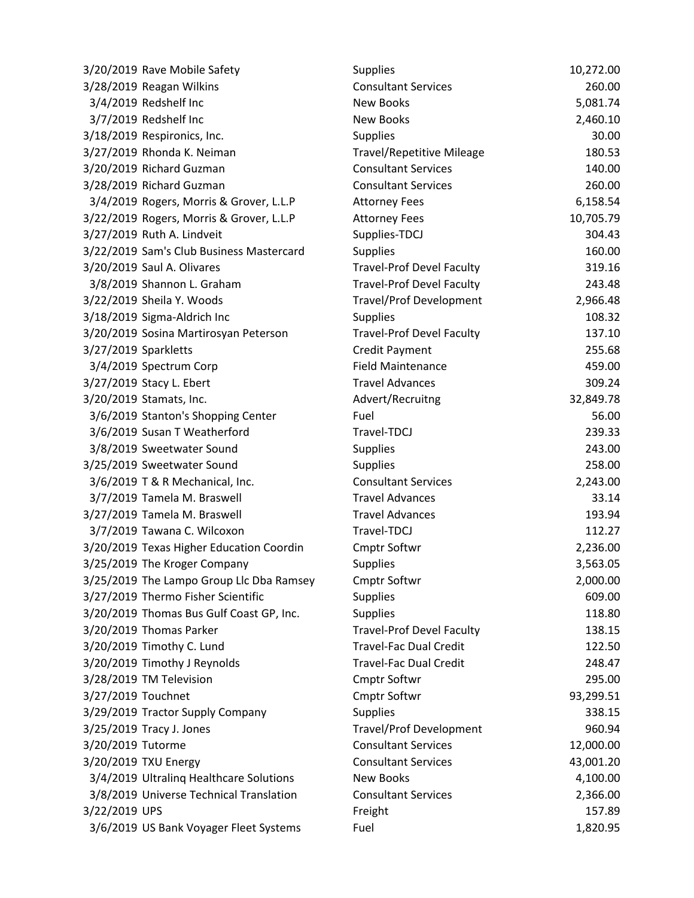| 3/20/2019 Rave Mobile Safety             | <b>Supplies</b>                  | 10,272.00 |
|------------------------------------------|----------------------------------|-----------|
| 3/28/2019 Reagan Wilkins                 | <b>Consultant Services</b>       | 260.00    |
| 3/4/2019 Redshelf Inc                    | New Books                        | 5,081.74  |
| 3/7/2019 Redshelf Inc                    | <b>New Books</b>                 | 2,460.10  |
| 3/18/2019 Respironics, Inc.              | <b>Supplies</b>                  | 30.00     |
| 3/27/2019 Rhonda K. Neiman               | <b>Travel/Repetitive Mileage</b> | 180.53    |
| 3/20/2019 Richard Guzman                 | <b>Consultant Services</b>       | 140.00    |
| 3/28/2019 Richard Guzman                 | <b>Consultant Services</b>       | 260.00    |
| 3/4/2019 Rogers, Morris & Grover, L.L.P  | <b>Attorney Fees</b>             | 6,158.54  |
| 3/22/2019 Rogers, Morris & Grover, L.L.P | <b>Attorney Fees</b>             | 10,705.79 |
| 3/27/2019 Ruth A. Lindveit               | Supplies-TDCJ                    | 304.43    |
| 3/22/2019 Sam's Club Business Mastercard | <b>Supplies</b>                  | 160.00    |
| 3/20/2019 Saul A. Olivares               | <b>Travel-Prof Devel Faculty</b> | 319.16    |
| 3/8/2019 Shannon L. Graham               | <b>Travel-Prof Devel Faculty</b> | 243.48    |
| 3/22/2019 Sheila Y. Woods                | <b>Travel/Prof Development</b>   | 2,966.48  |
| 3/18/2019 Sigma-Aldrich Inc              | <b>Supplies</b>                  | 108.32    |
| 3/20/2019 Sosina Martirosyan Peterson    | <b>Travel-Prof Devel Faculty</b> | 137.10    |
| 3/27/2019 Sparkletts                     | Credit Payment                   | 255.68    |
| 3/4/2019 Spectrum Corp                   | <b>Field Maintenance</b>         | 459.00    |
| 3/27/2019 Stacy L. Ebert                 | <b>Travel Advances</b>           | 309.24    |
| 3/20/2019 Stamats, Inc.                  | Advert/Recruitng                 | 32,849.78 |
| 3/6/2019 Stanton's Shopping Center       | Fuel                             | 56.00     |
| 3/6/2019 Susan T Weatherford             | Travel-TDCJ                      | 239.33    |
| 3/8/2019 Sweetwater Sound                | <b>Supplies</b>                  | 243.00    |
| 3/25/2019 Sweetwater Sound               | <b>Supplies</b>                  | 258.00    |
| 3/6/2019 T & R Mechanical, Inc.          | <b>Consultant Services</b>       | 2,243.00  |
| 3/7/2019 Tamela M. Braswell              | <b>Travel Advances</b>           | 33.14     |
| 3/27/2019 Tamela M. Braswell             | <b>Travel Advances</b>           | 193.94    |
| 3/7/2019 Tawana C. Wilcoxon              | Travel-TDCJ                      | 112.27    |
| 3/20/2019 Texas Higher Education Coordin | Cmptr Softwr                     | 2,236.00  |
| 3/25/2019 The Kroger Company             | <b>Supplies</b>                  | 3,563.05  |
| 3/25/2019 The Lampo Group Llc Dba Ramsey | <b>Cmptr Softwr</b>              | 2,000.00  |
| 3/27/2019 Thermo Fisher Scientific       | <b>Supplies</b>                  | 609.00    |
| 3/20/2019 Thomas Bus Gulf Coast GP, Inc. | <b>Supplies</b>                  | 118.80    |
| 3/20/2019 Thomas Parker                  | <b>Travel-Prof Devel Faculty</b> | 138.15    |
| 3/20/2019 Timothy C. Lund                | <b>Travel-Fac Dual Credit</b>    | 122.50    |
| 3/20/2019 Timothy J Reynolds             | <b>Travel-Fac Dual Credit</b>    | 248.47    |
| 3/28/2019 TM Television                  | <b>Cmptr Softwr</b>              | 295.00    |
| 3/27/2019 Touchnet                       | <b>Cmptr Softwr</b>              | 93,299.51 |
| 3/29/2019 Tractor Supply Company         | <b>Supplies</b>                  | 338.15    |
| 3/25/2019 Tracy J. Jones                 | <b>Travel/Prof Development</b>   | 960.94    |
| 3/20/2019 Tutorme                        | <b>Consultant Services</b>       | 12,000.00 |
| 3/20/2019 TXU Energy                     | <b>Consultant Services</b>       | 43,001.20 |
| 3/4/2019 Ultraling Healthcare Solutions  | <b>New Books</b>                 | 4,100.00  |
| 3/8/2019 Universe Technical Translation  | <b>Consultant Services</b>       | 2,366.00  |
| 3/22/2019 UPS                            | Freight                          | 157.89    |
| 3/6/2019 US Bank Voyager Fleet Systems   | Fuel                             | 1,820.95  |